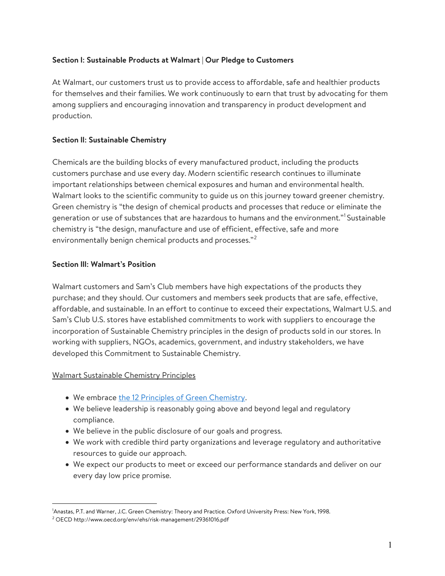## Section l: Sustainable Products at Walmart | Our Pledge to Customers

At Walmart, our customers trust us to provide access to affordable, safe and healthier products for themselves and their families. We work continuously to earn that trust by advocating for them among suppliers and encouraging innovation and transparency in product development and production.

## Section ll: Sustainable Chemistry

Chemicals are the building blocks of every manufactured product, including the products customers purchase and use every day. Modern scientific research continues to illuminate important relationships between chemical exposures and human and environmental health. Walmart looks to the scientific community to guide us on this journey toward greener chemistry. Green chemistry is "the design of chemical products and processes that reduce or eliminate the generation or use of substances that are hazardous to humans and the environment."<sup>1</sup> Sustainable chemistry is "the design, manufacture and use of efficient, effective, safe and more environmentally benign chemical products and processes."<sup>2</sup>

## Section lll: Walmart's Position

Walmart customers and Sam's Club members have high expectations of the products they purchase; and they should. Our customers and members seek products that are safe, effective, affordable, and sustainable. In an effort to continue to exceed their expectations, Walmart U.S. and Sam's Club U.S. stores have established commitments to work with suppliers to encourage the incorporation of Sustainable Chemistry principles in the design of products sold in our stores. In working with suppliers, NGOs, academics, government, and industry stakeholders, we have developed this Commitment to Sustainable Chemistry.

#### Walmart Sustainable Chemistry Principles

- We embrace the 12 Principles of Green Chemistry.
- We believe leadership is reasonably going above and beyond legal and regulatory compliance.
- We believe in the public disclosure of our goals and progress.
- We work with credible third party organizations and leverage regulatory and authoritative resources to guide our approach.
- We expect our products to meet or exceed our performance standards and deliver on our every day low price promise.

<sup>1</sup>Anastas, P.T. and Warner, J.C. Green Chemistry: Theory and Practice. Oxford University Press: New York, 1998.

<sup>2</sup> OECD http://www.oecd.org/env/ehs/risk-management/29361016.pdf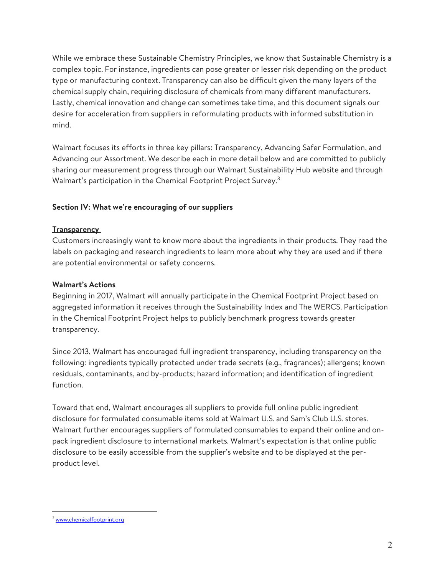While we embrace these Sustainable Chemistry Principles, we know that Sustainable Chemistry is a complex topic. For instance, ingredients can pose greater or lesser risk depending on the product type or manufacturing context. Transparency can also be difficult given the many layers of the chemical supply chain, requiring disclosure of chemicals from many different manufacturers. Lastly, chemical innovation and change can sometimes take time, and this document signals our desire for acceleration from suppliers in reformulating products with informed substitution in mind.

Walmart focuses its efforts in three key pillars: Transparency, Advancing Safer Formulation, and Advancing our Assortment. We describe each in more detail below and are committed to publicly sharing our measurement progress through our Walmart Sustainability Hub website and through Walmart's participation in the Chemical Footprint Project Survey.<sup>3</sup>

#### Section IV: What we're encouraging of our suppliers

#### **Transparency**

Customers increasingly want to know more about the ingredients in their products. They read the labels on packaging and research ingredients to learn more about why they are used and if there are potential environmental or safety concerns.

#### Walmart's Actions

Beginning in 2017, Walmart will annually participate in the Chemical Footprint Project based on aggregated information it receives through the Sustainability Index and The WERCS. Participation in the Chemical Footprint Project helps to publicly benchmark progress towards greater transparency.

Since 2013, Walmart has encouraged full ingredient transparency, including transparency on the following: ingredients typically protected under trade secrets (e.g., fragrances); allergens; known residuals, contaminants, and by-products; hazard information; and identification of ingredient function.

Toward that end, Walmart encourages all suppliers to provide full online public ingredient disclosure for formulated consumable items sold at Walmart U.S. and Sam's Club U.S. stores. Walmart further encourages suppliers of formulated consumables to expand their online and onpack ingredient disclosure to international markets. Walmart's expectation is that online public disclosure to be easily accessible from the supplier's website and to be displayed at the perproduct level.

 $\overline{a}$ <sup>3</sup> www.chemicalfootprint.org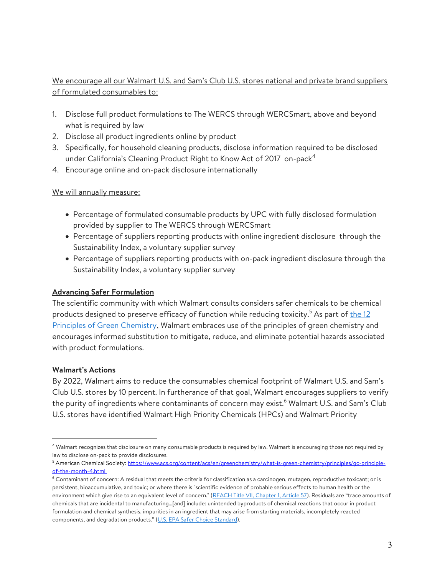# We encourage all our Walmart U.S. and Sam's Club U.S. stores national and private brand suppliers of formulated consumables to:

- 1. Disclose full product formulations to The WERCS through WERCSmart, above and beyond what is required by law
- 2. Disclose all product ingredients online by product
- 3. Specifically, for household cleaning products, disclose information required to be disclosed under California's Cleaning Product Right to Know Act of 2017  $\,$  on-pack $^4$
- 4. Encourage online and on-pack disclosure internationally

## We will annually measure:

- Percentage of formulated consumable products by UPC with fully disclosed formulation provided by supplier to The WERCS through WERCSmart
- Percentage of suppliers reporting products with online ingredient disclosure through the Sustainability Index, a voluntary supplier survey
- Percentage of suppliers reporting products with on-pack ingredient disclosure through the Sustainability Index, a voluntary supplier survey

## Advancing Safer Formulation

The scientific community with which Walmart consults considers safer chemicals to be chemical products designed to preserve efficacy of function while reducing toxicity.<sup>5</sup> As part of <u>the 12</u> Principles of Green Chemistry, Walmart embraces use of the principles of green chemistry and encourages informed substitution to mitigate, reduce, and eliminate potential hazards associated with product formulations.

## Walmart's Actions

 $\overline{a}$ 

By 2022, Walmart aims to reduce the consumables chemical footprint of Walmart U.S. and Sam's Club U.S. stores by 10 percent. In furtherance of that goal, Walmart encourages suppliers to verify the purity of ingredients where contaminants of concern may exist.<sup>6</sup> Walmart U.S. and Sam's Club U.S. stores have identified Walmart High Priority Chemicals (HPCs) and Walmart Priority

<sup>4</sup> Walmart recognizes that disclosure on many consumable products is required by law. Walmart is encouraging those not required by law to disclose on-pack to provide disclosures.

<sup>&</sup>lt;sup>5</sup> American Chemical Society: <u>https://www.acs.org/content/acs/en/greenchemistry/what-is-green-chemistry/principles/gc-principle-</u> of-the-month-4.html

<sup>6</sup> Contaminant of concern: A residual that meets the criteria for classification as a carcinogen, mutagen, reproductive toxicant; or is persistent, bioaccumulative, and toxic; or where there is "scientific evidence of probable serious effects to human health or the environment which give rise to an equivalent level of concern." (REACH Title VII, Chapter 1, Article 57). Residuals are "trace amounts of chemicals that are incidental to manufacturing…[and] include: unintended byproducts of chemical reactions that occur in product formulation and chemical synthesis, impurities in an ingredient that may arise from starting materials, incompletely reacted components, and degradation products." (U.S. EPA Safer Choice Standard).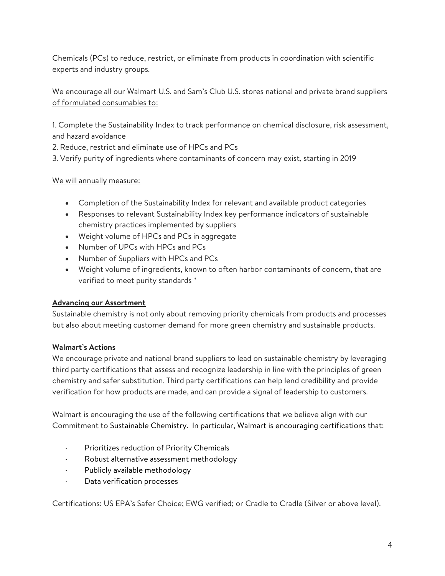Chemicals (PCs) to reduce, restrict, or eliminate from products in coordination with scientific experts and industry groups.

# We encourage all our Walmart U.S. and Sam's Club U.S. stores national and private brand suppliers of formulated consumables to:

1. Complete the Sustainability Index to track performance on chemical disclosure, risk assessment, and hazard avoidance

2. Reduce, restrict and eliminate use of HPCs and PCs

3. Verify purity of ingredients where contaminants of concern may exist, starting in 2019

## We will annually measure:

- Completion of the Sustainability Index for relevant and available product categories
- Responses to relevant Sustainability Index key performance indicators of sustainable chemistry practices implemented by suppliers
- Weight volume of HPCs and PCs in aggregate
- Number of UPCs with HPCs and PCs
- Number of Suppliers with HPCs and PCs
- Weight volume of ingredients, known to often harbor contaminants of concern, that are verified to meet purity standards \*

## Advancing our Assortment

Sustainable chemistry is not only about removing priority chemicals from products and processes but also about meeting customer demand for more green chemistry and sustainable products.

# Walmart's Actions

We encourage private and national brand suppliers to lead on sustainable chemistry by leveraging third party certifications that assess and recognize leadership in line with the principles of green chemistry and safer substitution. Third party certifications can help lend credibility and provide verification for how products are made, and can provide a signal of leadership to customers.

Walmart is encouraging the use of the following certifications that we believe align with our Commitment to Sustainable Chemistry. In particular, Walmart is encouraging certifications that:

- Prioritizes reduction of Priority Chemicals
- · Robust alternative assessment methodology
- · Publicly available methodology
- · Data verification processes

Certifications: US EPA's Safer Choice; EWG verified; or Cradle to Cradle (Silver or above level).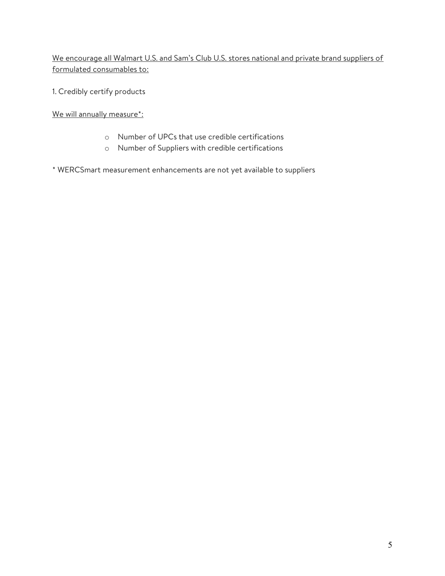We encourage all Walmart U.S. and Sam's Club U.S. stores national and private brand suppliers of formulated consumables to:

1. Credibly certify products

We will annually measure\*:

- o Number of UPCs that use credible certifications
- o Number of Suppliers with credible certifications
- \* WERCSmart measurement enhancements are not yet available to suppliers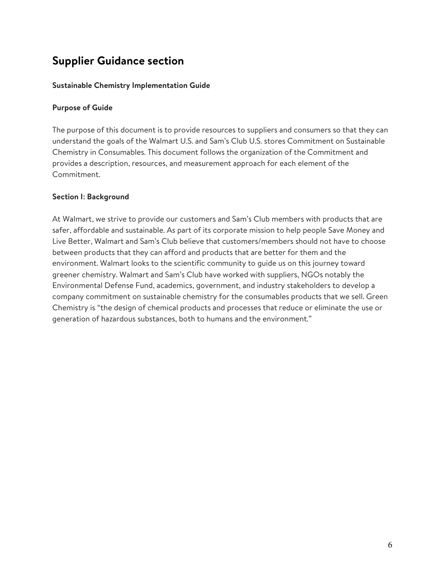# Supplier Guidance section

#### Sustainable Chemistry Implementation Guide

#### Purpose of Guide

The purpose of this document is to provide resources to suppliers and consumers so that they can understand the goals of the Walmart U.S. and Sam's Club U.S. stores Commitment on Sustainable Chemistry in Consumables. This document follows the organization of the Commitment and provides a description, resources, and measurement approach for each element of the Commitment.

## Section I: Background

At Walmart, we strive to provide our customers and Sam's Club members with products that are safer, affordable and sustainable. As part of its corporate mission to help people Save Money and Live Better, Walmart and Sam's Club believe that customers/members should not have to choose between products that they can afford and products that are better for them and the environment. Walmart looks to the scientific community to guide us on this journey toward greener chemistry. Walmart and Sam's Club have worked with suppliers, NGOs notably the Environmental Defense Fund, academics, government, and industry stakeholders to develop a company commitment on sustainable chemistry for the consumables products that we sell. Green Chemistry is "the design of chemical products and processes that reduce or eliminate the use or generation of hazardous substances, both to humans and the environment."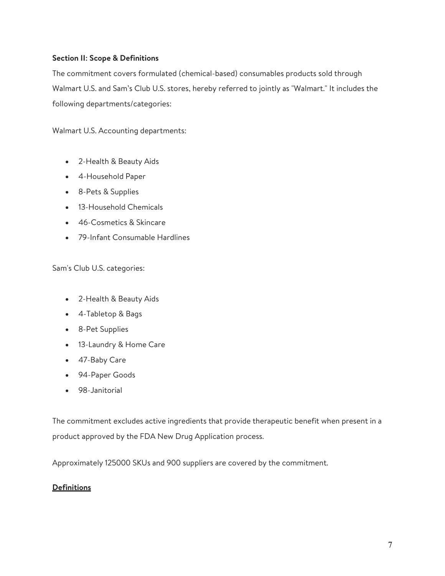## Section II: Scope & Definitions

The commitment covers formulated (chemical-based) consumables products sold through Walmart U.S. and Sam's Club U.S. stores, hereby referred to jointly as "Walmart." It includes the following departments/categories:

Walmart U.S. Accounting departments:

- 2-Health & Beauty Aids
- 4-Household Paper
- 8-Pets & Supplies
- 13-Household Chemicals
- 46-Cosmetics & Skincare
- 79-Infant Consumable Hardlines

Sam's Club U.S. categories:

- 2-Health & Beauty Aids
- 4-Tabletop & Bags
- 8-Pet Supplies
- 13-Laundry & Home Care
- 47-Baby Care
- 94-Paper Goods
- 98-Janitorial

The commitment excludes active ingredients that provide therapeutic benefit when present in a product approved by the FDA New Drug Application process.

Approximately 125000 SKUs and 900 suppliers are covered by the commitment.

## **Definitions**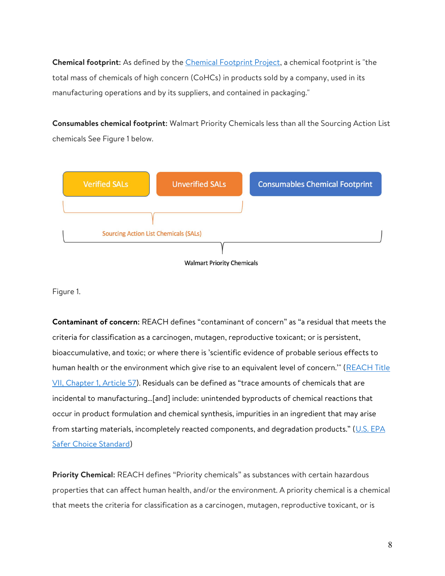Chemical footprint: As defined by the *Chemical Footprint Project*, a chemical footprint is "the total mass of chemicals of high concern (CoHCs) in products sold by a company, used in its manufacturing operations and by its suppliers, and contained in packaging."

Consumables chemical footprint: Walmart Priority Chemicals less than all the Sourcing Action List chemicals See Figure 1 below.



Figure 1.

Contaminant of concern: REACH defines "contaminant of concern" as "a residual that meets the criteria for classification as a carcinogen, mutagen, reproductive toxicant; or is persistent, bioaccumulative, and toxic; or where there is 'scientific evidence of probable serious effects to human health or the environment which give rise to an equivalent level of concern." (REACH Title VII, Chapter 1, Article 57). Residuals can be defined as "trace amounts of chemicals that are incidental to manufacturing…[and] include: unintended byproducts of chemical reactions that occur in product formulation and chemical synthesis, impurities in an ingredient that may arise from starting materials, incompletely reacted components, and degradation products." (U.S. EPA Safer Choice Standard)

Priority Chemical: REACH defines "Priority chemicals" as substances with certain hazardous properties that can affect human health, and/or the environment. A priority chemical is a chemical that meets the criteria for classification as a carcinogen, mutagen, reproductive toxicant, or is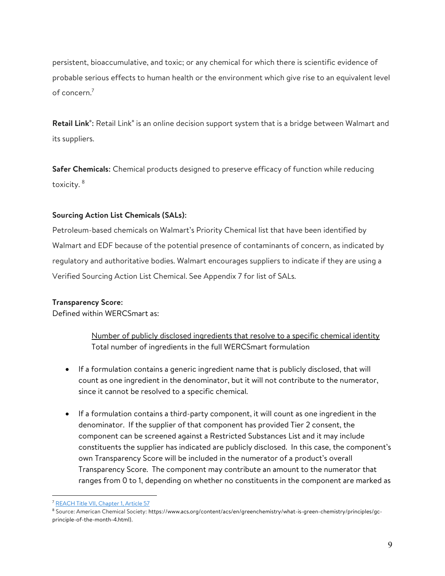persistent, bioaccumulative, and toxic; or any chemical for which there is scientific evidence of probable serious effects to human health or the environment which give rise to an equivalent level of concern.<sup>7</sup>

Retail Link<sup>®</sup>: Retail Link<sup>®</sup> is an online decision support system that is a bridge between Walmart and its suppliers.

Safer Chemicals: Chemical products designed to preserve efficacy of function while reducing toxicity. <sup>8</sup>

## Sourcing Action List Chemicals (SALs):

Petroleum-based chemicals on Walmart's Priority Chemical list that have been identified by Walmart and EDF because of the potential presence of contaminants of concern, as indicated by regulatory and authoritative bodies. Walmart encourages suppliers to indicate if they are using a Verified Sourcing Action List Chemical. See Appendix 7 for list of SALs.

#### Transparency Score:

Defined within WERCSmart as:

Number of publicly disclosed ingredients that resolve to a specific chemical identity Total number of ingredients in the full WERCSmart formulation

- If a formulation contains a generic ingredient name that is publicly disclosed, that will count as one ingredient in the denominator, but it will not contribute to the numerator, since it cannot be resolved to a specific chemical.
- If a formulation contains a third-party component, it will count as one ingredient in the denominator. If the supplier of that component has provided Tier 2 consent, the component can be screened against a Restricted Substances List and it may include constituents the supplier has indicated are publicly disclosed. In this case, the component's own Transparency Score will be included in the numerator of a product's overall Transparency Score. The component may contribute an amount to the numerator that ranges from 0 to 1, depending on whether no constituents in the component are marked as

<sup>&</sup>lt;sup>7</sup> REACH Title VII, Chapter 1, Article 57

<sup>8</sup> Source: American Chemical Society: https://www.acs.org/content/acs/en/greenchemistry/what-is-green-chemistry/principles/gcprinciple-of-the-month-4.html).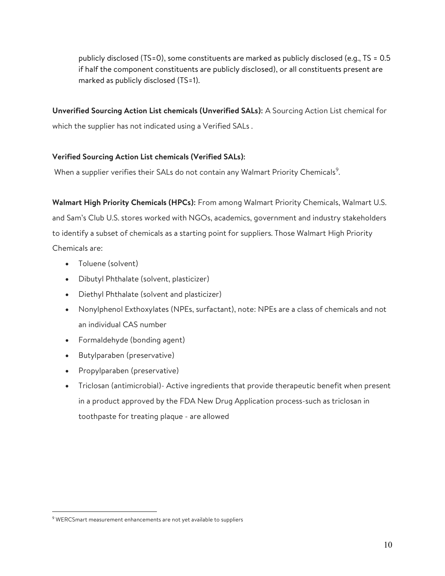publicly disclosed (TS=0), some constituents are marked as publicly disclosed (e.g., TS = 0.5 if half the component constituents are publicly disclosed), or all constituents present are marked as publicly disclosed (TS=1).

Unverified Sourcing Action List chemicals (Unverified SALs): A Sourcing Action List chemical for which the supplier has not indicated using a Verified SALs .

## Verified Sourcing Action List chemicals (Verified SALs):

When a supplier verifies their SALs do not contain any Walmart Priority Chemicals<sup>9</sup>.

Walmart High Priority Chemicals (HPCs): From among Walmart Priority Chemicals, Walmart U.S. and Sam's Club U.S. stores worked with NGOs, academics, government and industry stakeholders to identify a subset of chemicals as a starting point for suppliers. Those Walmart High Priority Chemicals are:

- Toluene (solvent)
- Dibutyl Phthalate (solvent, plasticizer)
- Diethyl Phthalate (solvent and plasticizer)
- Nonylphenol Exthoxylates (NPEs, surfactant), note: NPEs are a class of chemicals and not an individual CAS number
- Formaldehyde (bonding agent)
- Butylparaben (preservative)
- Propylparaben (preservative)
- Triclosan (antimicrobial)- Active ingredients that provide therapeutic benefit when present in a product approved by the FDA New Drug Application process-such as triclosan in toothpaste for treating plaque - are allowed

<sup>9</sup> WERCSmart measurement enhancements are not yet available to suppliers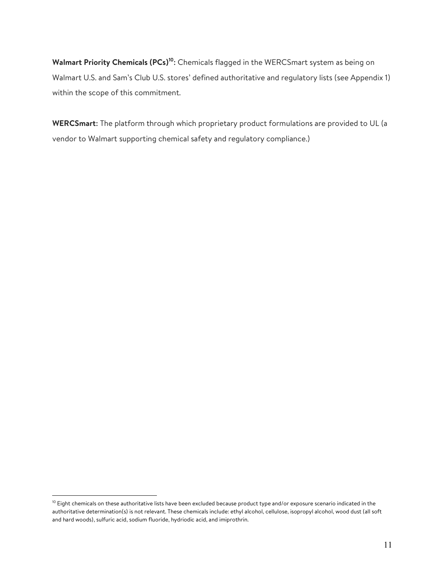Walmart Priority Chemicals (PCs)<sup>10</sup>: Chemicals flagged in the WERCSmart system as being on Walmart U.S. and Sam's Club U.S. stores' defined authoritative and regulatory lists (see Appendix 1) within the scope of this commitment.

WERCSmart: The platform through which proprietary product formulations are provided to UL (a vendor to Walmart supporting chemical safety and regulatory compliance.)

<sup>&</sup>lt;sup>10</sup> Eight chemicals on these authoritative lists have been excluded because product type and/or exposure scenario indicated in the authoritative determination(s) is not relevant. These chemicals include: ethyl alcohol, cellulose, isopropyl alcohol, wood dust (all soft and hard woods), sulfuric acid, sodium fluoride, hydriodic acid, and imiprothrin.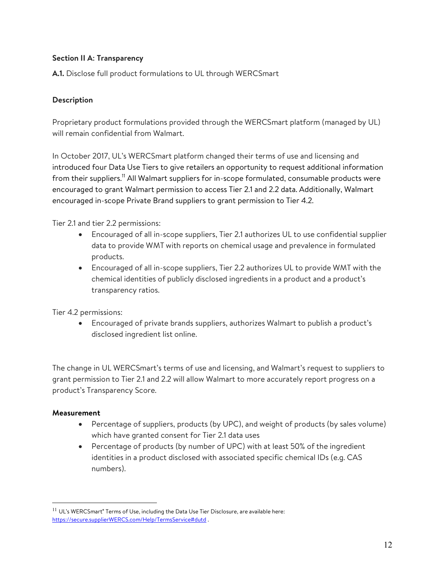## Section II A: Transparency

A.1. Disclose full product formulations to UL through WERCSmart

# Description

Proprietary product formulations provided through the WERCSmart platform (managed by UL) will remain confidential from Walmart.

In October 2017, UL's WERCSmart platform changed their terms of use and licensing and introduced four Data Use Tiers to give retailers an opportunity to request additional information from their suppliers.<sup>11</sup> All Walmart suppliers for in-scope formulated, consumable products were encouraged to grant Walmart permission to access Tier 2.1 and 2.2 data. Additionally, Walmart encouraged in-scope Private Brand suppliers to grant permission to Tier 4.2.

Tier 2.1 and tier 2.2 permissions:

- Encouraged of all in-scope suppliers, Tier 2.1 authorizes UL to use confidential supplier data to provide WMT with reports on chemical usage and prevalence in formulated products.
- Encouraged of all in-scope suppliers, Tier 2.2 authorizes UL to provide WMT with the chemical identities of publicly disclosed ingredients in a product and a product's transparency ratios.

Tier 4.2 permissions:

 Encouraged of private brands suppliers, authorizes Walmart to publish a product's disclosed ingredient list online.

The change in UL WERCSmart's terms of use and licensing, and Walmart's request to suppliers to grant permission to Tier 2.1 and 2.2 will allow Walmart to more accurately report progress on a product's Transparency Score.

## Measurement

- Percentage of suppliers, products (by UPC), and weight of products (by sales volume) which have granted consent for Tier 2.1 data uses
- Percentage of products (by number of UPC) with at least 50% of the ingredient identities in a product disclosed with associated specific chemical IDs (e.g. CAS numbers).

 $11$  UL's WERCSmart® Terms of Use, including the Data Use Tier Disclosure, are available here: https://secure.supplierWERCS.com/Help/TermsService#dutd .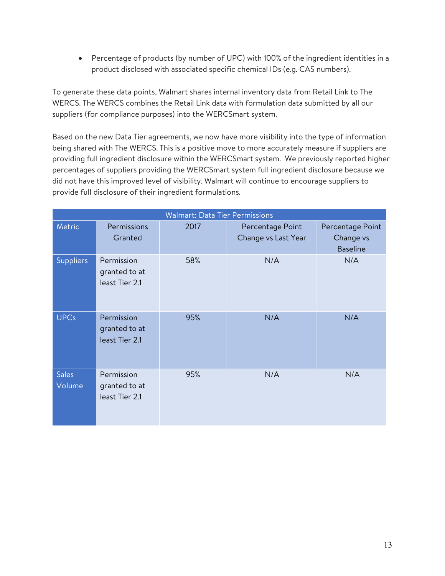Percentage of products (by number of UPC) with 100% of the ingredient identities in a product disclosed with associated specific chemical IDs (e.g. CAS numbers).

To generate these data points, Walmart shares internal inventory data from Retail Link to The WERCS. The WERCS combines the Retail Link data with formulation data submitted by all our suppliers (for compliance purposes) into the WERCSmart system.

Based on the new Data Tier agreements, we now have more visibility into the type of information being shared with The WERCS. This is a positive move to more accurately measure if suppliers are providing full ingredient disclosure within the WERCSmart system. We previously reported higher percentages of suppliers providing the WERCSmart system full ingredient disclosure because we did not have this improved level of visibility. Walmart will continue to encourage suppliers to provide full disclosure of their ingredient formulations.

| <b>Walmart: Data Tier Permissions</b> |                                               |      |                                         |                                                  |
|---------------------------------------|-----------------------------------------------|------|-----------------------------------------|--------------------------------------------------|
| Metric                                | Permissions<br>Granted                        | 2017 | Percentage Point<br>Change vs Last Year | Percentage Point<br>Change vs<br><b>Baseline</b> |
| Suppliers                             | Permission<br>granted to at<br>least Tier 2.1 | 58%  | N/A                                     | N/A                                              |
| <b>UPCs</b>                           | Permission<br>granted to at<br>least Tier 2.1 | 95%  | N/A                                     | N/A                                              |
| <b>Sales</b><br>Volume                | Permission<br>granted to at<br>least Tier 2.1 | 95%  | N/A                                     | N/A                                              |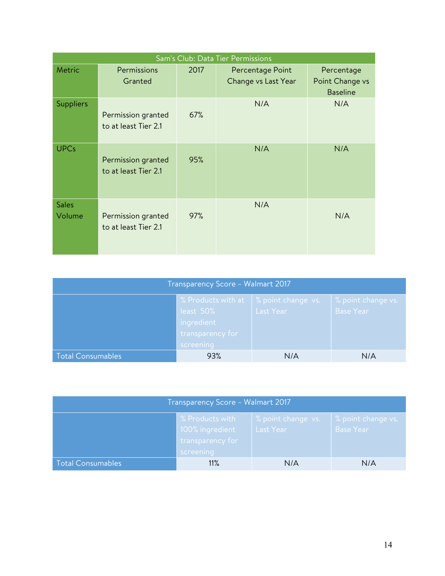| Sam's Club: Data Tier Permissions |                                            |      |                                         |                                                  |
|-----------------------------------|--------------------------------------------|------|-----------------------------------------|--------------------------------------------------|
| Metric                            | Permissions<br>Granted                     | 2017 | Percentage Point<br>Change vs Last Year | Percentage<br>Point Change vs<br><b>Baseline</b> |
| <b>Suppliers</b>                  | Permission granted<br>to at least Tier 2.1 | 67%  | N/A                                     | N/A                                              |
| <b>UPCs</b>                       | Permission granted<br>to at least Tier 2.1 | 95%  | N/A                                     | N/A                                              |
| <b>Sales</b><br>Volume            | Permission granted<br>to at least Tier 2.1 | 97%  | N/A                                     | N/A                                              |

| Transparency Score - Walmart 2017 |                                                                                                                                                                     |     |     |  |
|-----------------------------------|---------------------------------------------------------------------------------------------------------------------------------------------------------------------|-----|-----|--|
|                                   | % Products with at $\sqrt{ }$ % point change vs.<br>% point change vs.<br>least 50%<br><b>Base Year</b><br>Last Year<br>ingredient<br>transparency for<br>screening |     |     |  |
| <b>Total Consumables</b>          | 93%                                                                                                                                                                 | N/A | N/A |  |

| Transparency Score - Walmart 2017 |                                                                                                                                                  |     |     |  |  |
|-----------------------------------|--------------------------------------------------------------------------------------------------------------------------------------------------|-----|-----|--|--|
|                                   | % Products with<br>% point change vs.<br>% point change vs.<br>100% ingredient<br><b>Base Year</b><br>Last Year<br>transparency for<br>screening |     |     |  |  |
| <b>Total Consumables</b>          | 11%                                                                                                                                              | N/A | N/A |  |  |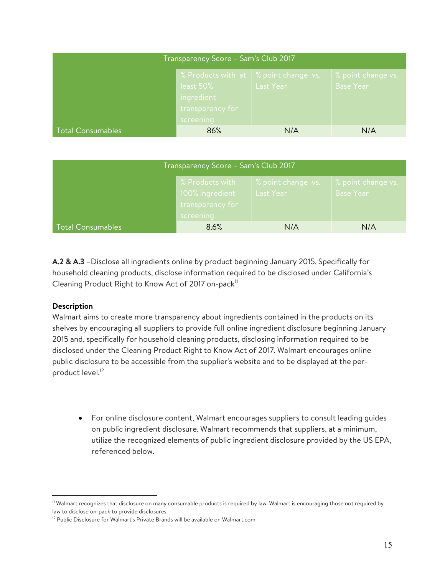| Transparency Score - Sam's Club 2017 |                                                                                                                             |           |                                        |
|--------------------------------------|-----------------------------------------------------------------------------------------------------------------------------|-----------|----------------------------------------|
|                                      | $\frac{1}{2}$ S Products with at $\frac{1}{2}$ point change vs.<br>least 50%<br>ingredient<br>transparency for<br>screening | Last Year | % point change vs.<br><b>Base Year</b> |
| <b>Total Consumables</b>             | 86%                                                                                                                         | N/A       | N/A                                    |

| Transparency Score - Sam's Club 2017 |                                                                     |                                 |                                           |
|--------------------------------------|---------------------------------------------------------------------|---------------------------------|-------------------------------------------|
|                                      | % Products with<br>100% ingredient<br>transparency for<br>screening | % point change vs.<br>Last Year | $\%$ point change vs.<br><b>Base Year</b> |
| Total Consumables                    | 8.6%                                                                | N/A                             | N/A                                       |

A.2 & A.3 –Disclose all ingredients online by product beginning January 2015. Specifically for household cleaning products, disclose information required to be disclosed under California's Cleaning Product Right to Know Act of 2017 on-pack $^{\text{\tiny{11}}}$ 

## Description

 $\overline{a}$ 

Walmart aims to create more transparency about ingredients contained in the products on its shelves by encouraging all suppliers to provide full online ingredient disclosure beginning January 2015 and, specifically for household cleaning products, disclosing information required to be disclosed under the Cleaning Product Right to Know Act of 2017. Walmart encourages online public disclosure to be accessible from the supplier's website and to be displayed at the perproduct level.<sup>12</sup>

 For online disclosure content, Walmart encourages suppliers to consult leading guides on public ingredient disclosure. Walmart recommends that suppliers, at a minimum, utilize the recognized elements of public ingredient disclosure provided by the US EPA, referenced below.

<sup>11</sup> Walmart recognizes that disclosure on many consumable products is required by law. Walmart is encouraging those not required by law to disclose on-pack to provide disclosures.

<sup>&</sup>lt;sup>12</sup> Public Disclosure for Walmart's Private Brands will be available on Walmart.com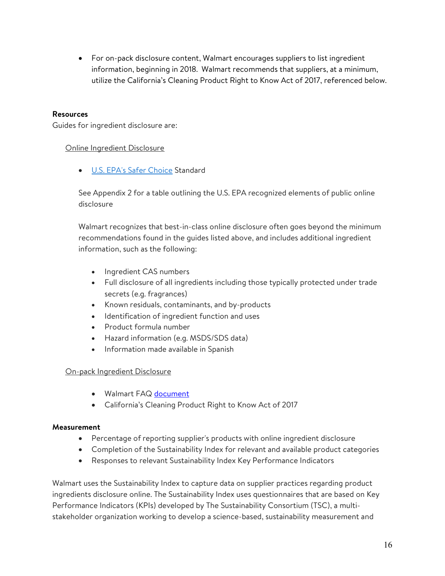For on-pack disclosure content, Walmart encourages suppliers to list ingredient information, beginning in 2018. Walmart recommends that suppliers, at a minimum, utilize the California's Cleaning Product Right to Know Act of 2017, referenced below.

#### Resources

Guides for ingredient disclosure are:

#### Online Ingredient Disclosure

U.S. EPA's Safer Choice Standard

See Appendix 2 for a table outlining the U.S. EPA recognized elements of public online disclosure

Walmart recognizes that best-in-class online disclosure often goes beyond the minimum recommendations found in the guides listed above, and includes additional ingredient information, such as the following:

- Ingredient CAS numbers
- Full disclosure of all ingredients including those typically protected under trade secrets (e.g. fragrances)
- Known residuals, contaminants, and by-products
- $\bullet$  Identification of ingredient function and uses
- Product formula number
- Hazard information (e.g. MSDS/SDS data)
- Information made available in Spanish

#### On-pack Ingredient Disclosure

- Walmart FAQ document
- California's Cleaning Product Right to Know Act of 2017

#### Measurement

- Percentage of reporting supplier's products with online ingredient disclosure
- Completion of the Sustainability Index for relevant and available product categories
- Responses to relevant Sustainability Index Key Performance Indicators

Walmart uses the Sustainability Index to capture data on supplier practices regarding product ingredients disclosure online. The Sustainability Index uses questionnaires that are based on Key Performance Indicators (KPIs) developed by The Sustainability Consortium (TSC), a multistakeholder organization working to develop a science-based, sustainability measurement and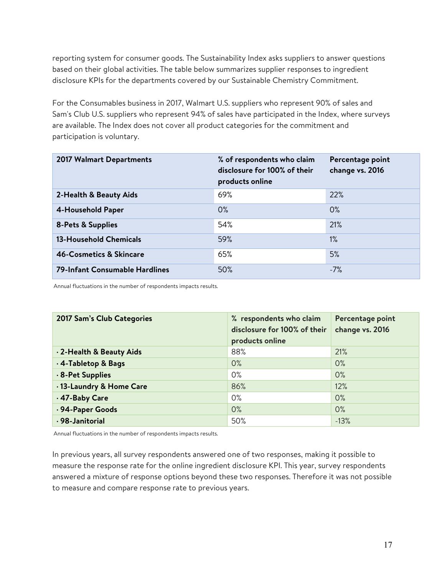reporting system for consumer goods. The Sustainability Index asks suppliers to answer questions based on their global activities. The table below summarizes supplier responses to ingredient disclosure KPIs for the departments covered by our Sustainable Chemistry Commitment.

For the Consumables business in 2017, Walmart U.S. suppliers who represent 90% of sales and Sam's Club U.S. suppliers who represent 94% of sales have participated in the Index, where surveys are available. The Index does not cover all product categories for the commitment and participation is voluntary.

| <b>2017 Walmart Departments</b>       | % of respondents who claim<br>disclosure for 100% of their<br>products online | Percentage point<br>change vs. 2016 |
|---------------------------------------|-------------------------------------------------------------------------------|-------------------------------------|
| 2-Health & Beauty Aids                | 69%                                                                           | 22%                                 |
| 4-Household Paper                     | $0\%$                                                                         | $0\%$                               |
| <b>8-Pets &amp; Supplies</b>          | 54%                                                                           | 21%                                 |
| <b>13-Household Chemicals</b>         | 59%                                                                           | $1\%$                               |
| <b>46-Cosmetics &amp; Skincare</b>    | 65%                                                                           | 5%                                  |
| <b>79-Infant Consumable Hardlines</b> | 50%                                                                           | $-7%$                               |

Annual fluctuations in the number of respondents impacts results.

| 2017 Sam's Club Categories | % respondents who claim<br>disclosure for 100% of their<br>products online | Percentage point<br>change vs. 2016 |
|----------------------------|----------------------------------------------------------------------------|-------------------------------------|
| . 2-Health & Beauty Aids   | 88%                                                                        | 21%                                 |
| .4-Tabletop & Bags         | 0%                                                                         | 0%                                  |
| . 8-Pet Supplies           | $0\%$                                                                      | 0%                                  |
| .13-Laundry & Home Care    | 86%                                                                        | 12%                                 |
| .47-Baby Care              | $0\%$                                                                      | $0\%$                               |
| .94-Paper Goods            | 0%                                                                         | 0%                                  |
| · 98-Janitorial            | 50%                                                                        | $-13%$                              |

Annual fluctuations in the number of respondents impacts results.

In previous years, all survey respondents answered one of two responses, making it possible to measure the response rate for the online ingredient disclosure KPI. This year, survey respondents answered a mixture of response options beyond these two responses. Therefore it was not possible to measure and compare response rate to previous years.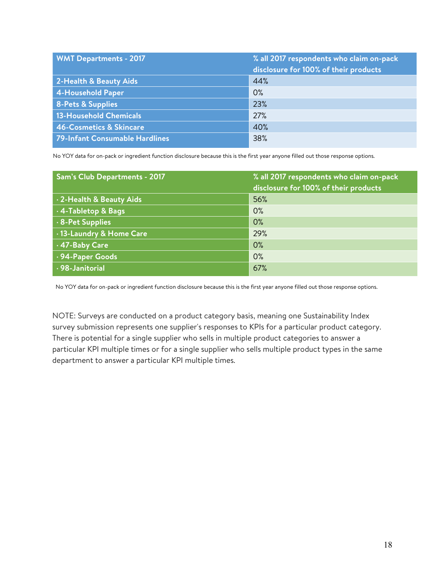| <b>WMT Departments - 2017</b>      | % all 2017 respondents who claim on-pack<br>disclosure for 100% of their products |
|------------------------------------|-----------------------------------------------------------------------------------|
| 2-Health & Beauty Aids             | 44%                                                                               |
| 4-Household Paper                  | 0%                                                                                |
| <b>8-Pets &amp; Supplies</b>       | 23%                                                                               |
| 13-Household Chemicals             | 27%                                                                               |
| <b>46-Cosmetics &amp; Skincare</b> | 40%                                                                               |
| 79-Infant Consumable Hardlines     | 38%                                                                               |

No YOY data for on-pack or ingredient function disclosure because this is the first year anyone filled out those response options.

| Sam's Club Departments - 2017 | % all 2017 respondents who claim on-pack<br>disclosure for 100% of their products |
|-------------------------------|-----------------------------------------------------------------------------------|
| 2-Health & Beauty Aids        | 56%                                                                               |
| .4-Tabletop & Bags            | 0%                                                                                |
| .8-Pet Supplies               | 0%                                                                                |
| · 13-Laundry & Home Care      | 29%                                                                               |
| 47-Baby Care                  | 0%                                                                                |
| .94-Paper Goods               | 0%                                                                                |
| · 98-Janitorial               | 67%                                                                               |

No YOY data for on-pack or ingredient function disclosure because this is the first year anyone filled out those response options.

NOTE: Surveys are conducted on a product category basis, meaning one Sustainability Index survey submission represents one supplier's responses to KPIs for a particular product category. There is potential for a single supplier who sells in multiple product categories to answer a particular KPI multiple times or for a single supplier who sells multiple product types in the same department to answer a particular KPI multiple times.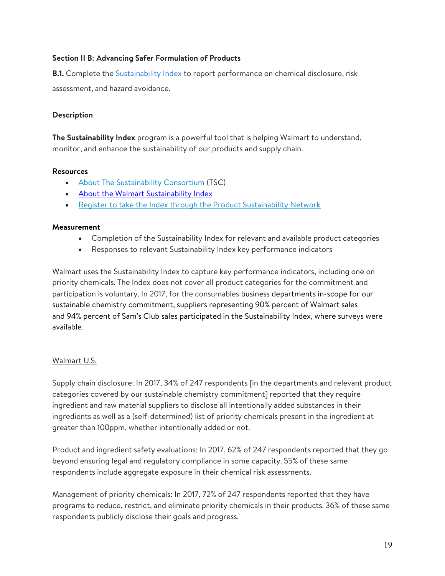## Section II B: Advancing Safer Formulation of Products

B.1. Complete the Sustainability Index to report performance on chemical disclosure, risk assessment, and hazard avoidance.

## Description

The Sustainability Index program is a powerful tool that is helping Walmart to understand, monitor, and enhance the sustainability of our products and supply chain.

#### **Resources**

- About The Sustainability Consortium (TSC)
- About the Walmart Sustainability Index
- Register to take the Index through the Product Sustainability Network

#### Measurement

- Completion of the Sustainability Index for relevant and available product categories
- Responses to relevant Sustainability Index key performance indicators

Walmart uses the Sustainability Index to capture key performance indicators, including one on priority chemicals. The Index does not cover all product categories for the commitment and participation is voluntary. In 2017, for the consumables business departments in-scope for our sustainable chemistry commitment, suppliers representing 90% percent of Walmart sales and 94% percent of Sam's Club sales participated in the Sustainability Index, where surveys were available.

#### Walmart U.S.

Supply chain disclosure: In 2017, 34% of 247 respondents [in the departments and relevant product categories covered by our sustainable chemistry commitment] reported that they require ingredient and raw material suppliers to disclose all intentionally added substances in their ingredients as well as a (self-determined) list of priority chemicals present in the ingredient at greater than 100ppm, whether intentionally added or not.

Product and ingredient safety evaluations: In 2017, 62% of 247 respondents reported that they go beyond ensuring legal and regulatory compliance in some capacity. 55% of these same respondents include aggregate exposure in their chemical risk assessments.

Management of priority chemicals: In 2017, 72% of 247 respondents reported that they have programs to reduce, restrict, and eliminate priority chemicals in their products. 36% of these same respondents publicly disclose their goals and progress.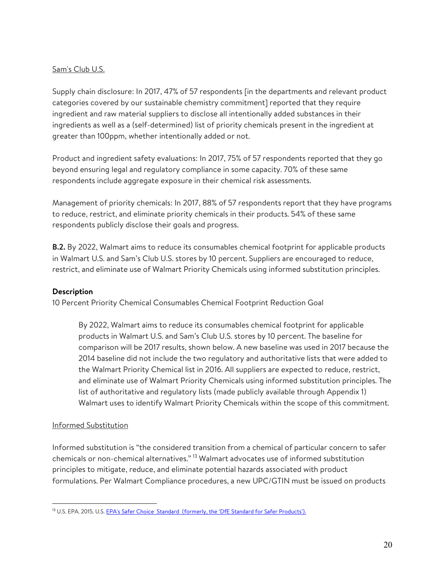## Sam's Club U.S.

Supply chain disclosure: In 2017, 47% of 57 respondents [in the departments and relevant product categories covered by our sustainable chemistry commitment] reported that they require ingredient and raw material suppliers to disclose all intentionally added substances in their ingredients as well as a (self-determined) list of priority chemicals present in the ingredient at greater than 100ppm, whether intentionally added or not.

Product and ingredient safety evaluations: In 2017, 75% of 57 respondents reported that they go beyond ensuring legal and regulatory compliance in some capacity. 70% of these same respondents include aggregate exposure in their chemical risk assessments.

Management of priority chemicals: In 2017, 88% of 57 respondents report that they have programs to reduce, restrict, and eliminate priority chemicals in their products. 54% of these same respondents publicly disclose their goals and progress.

**B.2.** By 2022, Walmart aims to reduce its consumables chemical footprint for applicable products in Walmart U.S. and Sam's Club U.S. stores by 10 percent. Suppliers are encouraged to reduce, restrict, and eliminate use of Walmart Priority Chemicals using informed substitution principles.

## Description

10 Percent Priority Chemical Consumables Chemical Footprint Reduction Goal

By 2022, Walmart aims to reduce its consumables chemical footprint for applicable products in Walmart U.S. and Sam's Club U.S. stores by 10 percent. The baseline for comparison will be 2017 results, shown below. A new baseline was used in 2017 because the 2014 baseline did not include the two regulatory and authoritative lists that were added to the Walmart Priority Chemical list in 2016. All suppliers are expected to reduce, restrict, and eliminate use of Walmart Priority Chemicals using informed substitution principles. The list of authoritative and regulatory lists (made publicly available through Appendix 1) Walmart uses to identify Walmart Priority Chemicals within the scope of this commitment.

#### Informed Substitution

 $\overline{a}$ 

Informed substitution is "the considered transition from a chemical of particular concern to safer chemicals or non-chemical alternatives."<sup>13</sup> Walmart advocates use of informed substitution principles to mitigate, reduce, and eliminate potential hazards associated with product formulations. Per Walmart Compliance procedures, a new UPC/GTIN must be issued on products

<sup>&</sup>lt;sup>13</sup> U.S. EPA. 2015. U.S. EPA's Safer Choice Standard (formerly, the 'DfE Standard for Safer Products').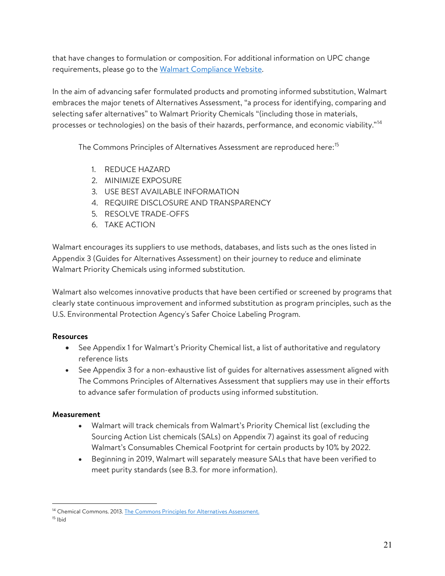that have changes to formulation or composition. For additional information on UPC change requirements, please go to the Walmart Compliance Website.

In the aim of advancing safer formulated products and promoting informed substitution, Walmart embraces the major tenets of Alternatives Assessment, "a process for identifying, comparing and selecting safer alternatives" to Walmart Priority Chemicals "(including those in materials, processes or technologies) on the basis of their hazards, performance, and economic viability."<sup>14</sup>

The Commons Principles of Alternatives Assessment are reproduced here:<sup>15</sup>

- 1. REDUCE HAZARD
- 2. MINIMIZE EXPOSURE
- 3. USE BEST AVAILABLE INFORMATION
- 4. REQUIRE DISCLOSURE AND TRANSPARENCY
- 5. RESOLVE TRADE-OFFS
- 6. TAKE ACTION

Walmart encourages its suppliers to use methods, databases, and lists such as the ones listed in Appendix 3 (Guides for Alternatives Assessment) on their journey to reduce and eliminate Walmart Priority Chemicals using informed substitution.

Walmart also welcomes innovative products that have been certified or screened by programs that clearly state continuous improvement and informed substitution as program principles, such as the U.S. Environmental Protection Agency's Safer Choice Labeling Program.

## Resources

- See Appendix 1 for Walmart's Priority Chemical list, a list of authoritative and regulatory reference lists
- See Appendix 3 for a non-exhaustive list of guides for alternatives assessment aligned with The Commons Principles of Alternatives Assessment that suppliers may use in their efforts to advance safer formulation of products using informed substitution.

## Measurement

- Walmart will track chemicals from Walmart's Priority Chemical list (excluding the Sourcing Action List chemicals (SALs) on Appendix 7) against its goal of reducing Walmart's Consumables Chemical Footprint for certain products by 10% by 2022.
- Beginning in 2019, Walmart will separately measure SALs that have been verified to meet purity standards (see B.3. for more information).

<sup>&</sup>lt;sup>14</sup> Chemical Commons. 2013. The Commons Principles for Alternatives Assessment.

 $15$  Ibid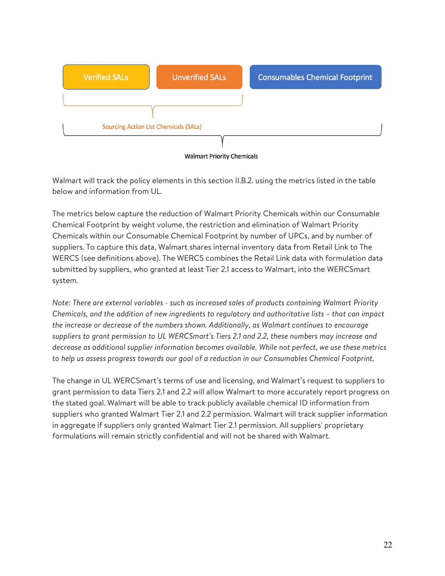

**Walmart Priority Chemicals** 

Walmart will track the policy elements in this section II.B.2. using the metrics listed in the table below and information from UL.

The metrics below capture the reduction of Walmart Priority Chemicals within our Consumable Chemical Footprint by weight volume, the restriction and elimination of Walmart Priority Chemicals within our Consumable Chemical Footprint by number of UPCs, and by number of suppliers. To capture this data, Walmart shares internal inventory data from Retail Link to The WERCS (see definitions above). The WERCS combines the Retail Link data with formulation data submitted by suppliers, who granted at least Tier 2.1 access to Walmart, into the WERCSmart system.

Note: There are external variables - such as increased sales of products containing Walmart Priority Chemicals, and the addition of new ingredients to regulatory and authoritative lists – that can impact the increase or decrease of the numbers shown. Additionally, as Walmart continues to encourage suppliers to grant permission to UL WERCSmart's Tiers 2.1 and 2.2, these numbers may increase and decrease as additional supplier information becomes available. While not perfect, we use these metrics to help us assess progress towards our goal of a reduction in our Consumables Chemical Footprint.

The change in UL WERCSmart's terms of use and licensing, and Walmart's request to suppliers to grant permission to data Tiers 2.1 and 2.2 will allow Walmart to more accurately report progress on the stated goal. Walmart will be able to track publicly available chemical ID information from suppliers who granted Walmart Tier 2.1 and 2.2 permission. Walmart will track supplier information in aggregate if suppliers only granted Walmart Tier 2.1 permission. All suppliers' proprietary formulations will remain strictly confidential and will not be shared with Walmart.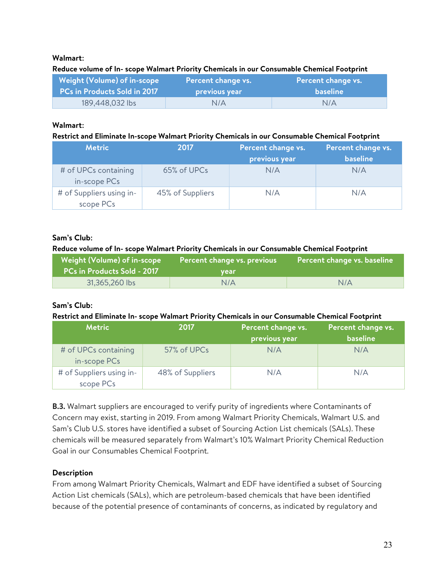## Walmart:

#### Reduce volume of In- scope Walmart Priority Chemicals in our Consumable Chemical Footprint

| Weight (Volume) of in-scope  | Percent change vs. | Percent change vs. |
|------------------------------|--------------------|--------------------|
| PCs in Products Sold in 2017 | previous year      | <b>baseline</b>    |
| 189,448,032 lbs              | N/A                | N/A                |

#### Walmart:

#### Restrict and Eliminate In-scope Walmart Priority Chemicals in our Consumable Chemical Footprint

| <b>Metric</b>                         | 2017             | Percent change vs.<br>previous year | Percent change vs.<br><b>baseline</b> |
|---------------------------------------|------------------|-------------------------------------|---------------------------------------|
| # of UPCs containing<br>in-scope PCs  | 65% of UPCs      | N/A                                 | N/A                                   |
| # of Suppliers using in-<br>scope PCs | 45% of Suppliers | N/A                                 | N/A                                   |

#### Sam's Club:

#### Reduce volume of In- scope Walmart Priority Chemicals in our Consumable Chemical Footprint

| Weight (Volume) of in-scope<br><b>PCs in Products Sold - 2017</b> | Percent change vs. previous<br>vear | Percent change vs. baseline |
|-------------------------------------------------------------------|-------------------------------------|-----------------------------|
| 31,365,260 lbs                                                    | N/A                                 | N/A                         |

#### Sam's Club:

#### Restrict and Eliminate In- scope Walmart Priority Chemicals in our Consumable Chemical Footprint

| <b>Metric</b>                         | 2017             | Percent change vs.<br>previous year | Percent change vs.<br><b>baseline</b> |
|---------------------------------------|------------------|-------------------------------------|---------------------------------------|
| # of UPCs containing<br>in-scope PCs  | 57% of UPCs      | N/A                                 | N/A                                   |
| # of Suppliers using in-<br>scope PCs | 48% of Suppliers | N/A                                 | N/A                                   |

**B.3.** Walmart suppliers are encouraged to verify purity of ingredients where Contaminants of Concern may exist, starting in 2019. From among Walmart Priority Chemicals, Walmart U.S. and Sam's Club U.S. stores have identified a subset of Sourcing Action List chemicals (SALs). These chemicals will be measured separately from Walmart's 10% Walmart Priority Chemical Reduction Goal in our Consumables Chemical Footprint.

## Description

From among Walmart Priority Chemicals, Walmart and EDF have identified a subset of Sourcing Action List chemicals (SALs), which are petroleum-based chemicals that have been identified because of the potential presence of contaminants of concerns, as indicated by regulatory and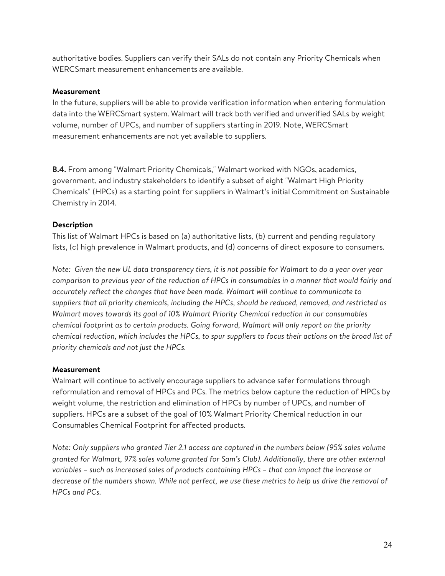authoritative bodies. Suppliers can verify their SALs do not contain any Priority Chemicals when WERCSmart measurement enhancements are available.

#### Measurement

In the future, suppliers will be able to provide verification information when entering formulation data into the WERCSmart system. Walmart will track both verified and unverified SALs by weight volume, number of UPCs, and number of suppliers starting in 2019. Note, WERCSmart measurement enhancements are not yet available to suppliers.

B.4. From among "Walmart Priority Chemicals," Walmart worked with NGOs, academics, government, and industry stakeholders to identify a subset of eight "Walmart High Priority Chemicals" (HPCs) as a starting point for suppliers in Walmart's initial Commitment on Sustainable Chemistry in 2014.

#### **Description**

This list of Walmart HPCs is based on (a) authoritative lists, (b) current and pending regulatory lists, (c) high prevalence in Walmart products, and (d) concerns of direct exposure to consumers.

Note: Given the new UL data transparency tiers, it is not possible for Walmart to do a year over year comparison to previous year of the reduction of HPCs in consumables in a manner that would fairly and accurately reflect the changes that have been made. Walmart will continue to communicate to suppliers that all priority chemicals, including the HPCs, should be reduced, removed, and restricted as Walmart moves towards its goal of 10% Walmart Priority Chemical reduction in our consumables chemical footprint as to certain products. Going forward, Walmart will only report on the priority chemical reduction, which includes the HPCs, to spur suppliers to focus their actions on the broad list of priority chemicals and not just the HPCs.

#### **Measurement**

Walmart will continue to actively encourage suppliers to advance safer formulations through reformulation and removal of HPCs and PCs. The metrics below capture the reduction of HPCs by weight volume, the restriction and elimination of HPCs by number of UPCs, and number of suppliers. HPCs are a subset of the goal of 10% Walmart Priority Chemical reduction in our Consumables Chemical Footprint for affected products.

Note: Only suppliers who granted Tier 2.1 access are captured in the numbers below (95% sales volume granted for Walmart, 97% sales volume granted for Sam's Club). Additionally, there are other external variables – such as increased sales of products containing HPCs – that can impact the increase or decrease of the numbers shown. While not perfect, we use these metrics to help us drive the removal of HPCs and PCs.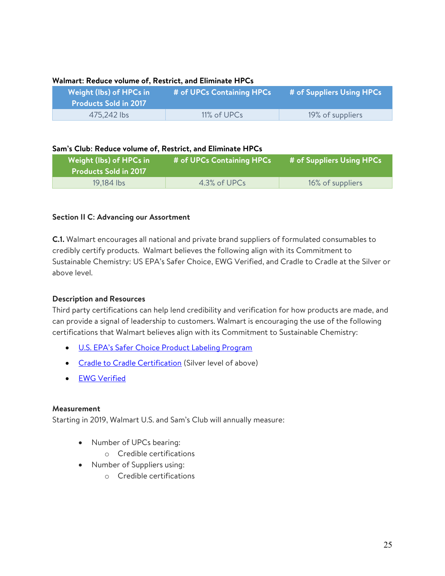| Weight (lbs) of HPCs in<br><b>Products Sold in 2017</b> | # of UPCs Containing HPCs | # of Suppliers Using HPCs |
|---------------------------------------------------------|---------------------------|---------------------------|
| 475,242 lbs                                             | 11% of UPCs               | 19% of suppliers          |

#### Walmart: Reduce volume of, Restrict, and Eliminate HPCs

#### Sam's Club: Reduce volume of, Restrict, and Eliminate HPCs

| Weight (lbs) of HPCs in<br><b>Products Sold in 2017</b> | # of UPCs Containing HPCs | # of Suppliers Using HPCs |
|---------------------------------------------------------|---------------------------|---------------------------|
| 19,184 lbs                                              | 4.3% of UPCs              | 16% of suppliers          |

#### Section II C: Advancing our Assortment

C.1. Walmart encourages all national and private brand suppliers of formulated consumables to credibly certify products. Walmart believes the following align with its Commitment to Sustainable Chemistry: US EPA's Safer Choice, EWG Verified, and Cradle to Cradle at the Silver or above level.

#### Description and Resources

Third party certifications can help lend credibility and verification for how products are made, and can provide a signal of leadership to customers. Walmart is encouraging the use of the following certifications that Walmart believes align with its Commitment to Sustainable Chemistry:

- U.S. EPA's Safer Choice Product Labeling Program
- Cradle to Cradle Certification (Silver level of above)
- EWG Verified

#### Measurement

Starting in 2019, Walmart U.S. and Sam's Club will annually measure:

- Number of UPCs bearing:
	- o Credible certifications
- Number of Suppliers using:
	- o Credible certifications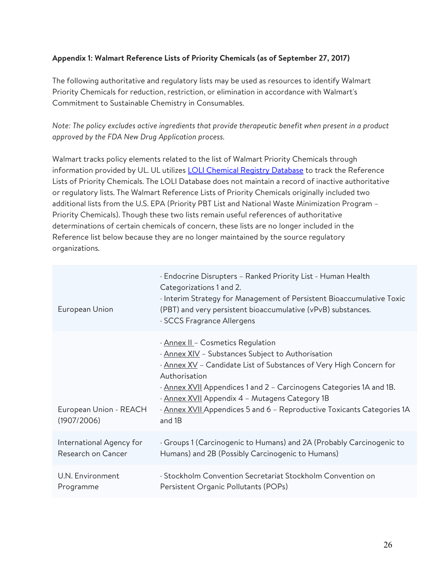## Appendix 1: Walmart Reference Lists of Priority Chemicals (as of September 27, 2017)

The following authoritative and regulatory lists may be used as resources to identify Walmart Priority Chemicals for reduction, restriction, or elimination in accordance with Walmart's Commitment to Sustainable Chemistry in Consumables.

Note: The policy excludes active ingredients that provide therapeutic benefit when present in a product approved by the FDA New Drug Application process.

Walmart tracks policy elements related to the list of Walmart Priority Chemicals through information provided by UL. UL utilizes **LOLI Chemical Registry Database** to track the Reference Lists of Priority Chemicals. The LOLI Database does not maintain a record of inactive authoritative or regulatory lists. The Walmart Reference Lists of Priority Chemicals originally included two additional lists from the U.S. EPA (Priority PBT List and National Waste Minimization Program – Priority Chemicals). Though these two lists remain useful references of authoritative determinations of certain chemicals of concern, these lists are no longer included in the Reference list below because they are no longer maintained by the source regulatory organizations.

| European Union                        | · Endocrine Disrupters - Ranked Priority List - Human Health<br>Categorizations 1 and 2.<br>Interim Strategy for Management of Persistent Bioaccumulative Toxic<br>(PBT) and very persistent bioaccumulative (vPvB) substances.<br>· SCCS Fragrance Allergens                                                                                                                              |
|---------------------------------------|--------------------------------------------------------------------------------------------------------------------------------------------------------------------------------------------------------------------------------------------------------------------------------------------------------------------------------------------------------------------------------------------|
| European Union - REACH<br>(1907/2006) | · Annex II - Cosmetics Regulation<br>. Annex XIV - Substances Subject to Authorisation<br>· Annex XV - Candidate List of Substances of Very High Concern for<br>Authorisation<br>· Annex XVII Appendices 1 and 2 – Carcinogens Categories 1A and 1B.<br>· Annex XVII Appendix 4 - Mutagens Category 1B<br>. Annex XVII Appendices 5 and 6 - Reproductive Toxicants Categories 1A<br>and 1B |
| International Agency for              | Groups 1 (Carcinogenic to Humans) and 2A (Probably Carcinogenic to                                                                                                                                                                                                                                                                                                                         |
| Research on Cancer                    | Humans) and 2B (Possibly Carcinogenic to Humans)                                                                                                                                                                                                                                                                                                                                           |
| U.N. Environment                      | · Stockholm Convention Secretariat Stockholm Convention on                                                                                                                                                                                                                                                                                                                                 |
| Programme                             | Persistent Organic Pollutants (POPs)                                                                                                                                                                                                                                                                                                                                                       |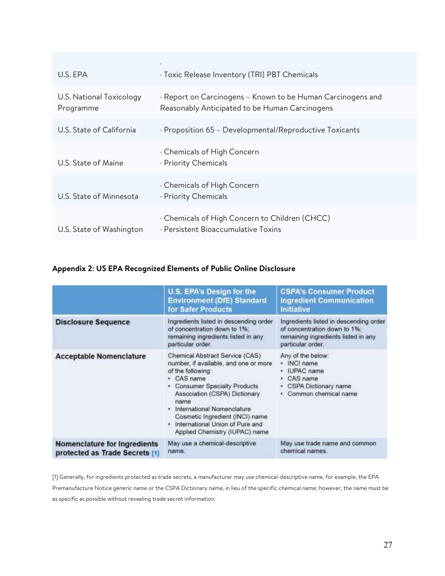| U.S. EPA                              | · Toxic Release Inventory (TRI) PBT Chemicals                                                                 |
|---------------------------------------|---------------------------------------------------------------------------------------------------------------|
| U.S. National Toxicology<br>Programme | · Report on Carcinogens – Known to be Human Carcinogens and<br>Reasonably Anticipated to be Human Carcinogens |
| U.S. State of California              | · Proposition 65 - Developmental/Reproductive Toxicants                                                       |
| U.S. State of Maine                   | . Chemicals of High Concern<br>· Priority Chemicals                                                           |
| U.S. State of Minnesota               | . Chemicals of High Concern<br>· Priority Chemicals                                                           |
| U.S. State of Washington              | . Chemicals of High Concern to Children (CHCC)<br>· Persistent Bioaccumulative Toxins                         |

## Appendix 2: US EPA Recognized Elements of Public Online Disclosure

|                                                                       | U.S. EPA's Design for the<br><b>Environment (DfE) Standard</b><br>for Safer Products                                                                                                                                                                                                                                           | <b>CSPA's Consumer Product</b><br><b>Ingredient Communication</b><br><b>Initiative</b>                                             |
|-----------------------------------------------------------------------|--------------------------------------------------------------------------------------------------------------------------------------------------------------------------------------------------------------------------------------------------------------------------------------------------------------------------------|------------------------------------------------------------------------------------------------------------------------------------|
| <b>Disclosure Sequence</b>                                            | Ingredients listed in descending order<br>of concentration down to 1%:<br>remaining ingredients listed in any<br>particular order.                                                                                                                                                                                             | Ingredients listed in descending order<br>of concentration down to 1%;<br>remaining ingredients listed in any<br>particular order. |
| <b>Acceptable Nomenclature</b>                                        | Chemical Abstract Service (CAS)<br>number, if available, and one or more<br>of the following:<br>CAS name<br><b>Consumer Specialty Products</b><br>Association (CSPA) Dictionary<br>name<br>International Nomenclature<br>Cosmetic Ingredient (INCI) name<br>International Union of Pure and<br>Applied Chemistry (IUPAC) name | Any of the below:<br>· INCI name<br><b>IUPAC</b> name<br>CAS name<br>CSPA Dictionary name<br>Common chemical name                  |
| <b>Nomenclature for Ingredients</b><br>protected as Trade Secrets [1] | May use a chemical-descriptive<br>name.                                                                                                                                                                                                                                                                                        | May use trade name and common<br>chemical names.                                                                                   |

[1] Generally, for ingredients protected as trade secrets, a manufacturer may use chemical-descriptive name, for example, the EPA Premanufacture Notice generic name or the CSPA Dictionary name, in lieu of the specific chemical name; however, the name must be as specific as possible without revealing trade secret information.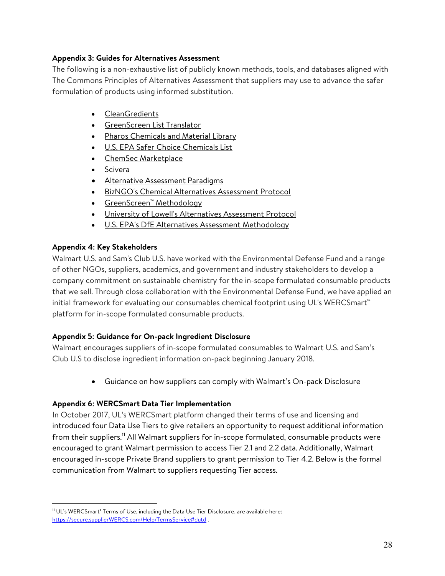## Appendix 3: Guides for Alternatives Assessment

The following is a non-exhaustive list of publicly known methods, tools, and databases aligned with The Commons Principles of Alternatives Assessment that suppliers may use to advance the safer formulation of products using informed substitution.

- CleanGredients
- GreenScreen List Translator
- **•** Pharos Chemicals and Material Library
- **U.S. EPA Safer Choice Chemicals List**
- ChemSec Marketplace
- Scivera
- Alternative Assessment Paradigms
- BizNGO's Chemical Alternatives Assessment Protocol
- GreenScreen™ Methodology
- University of Lowell's Alternatives Assessment Protocol
- U.S. EPA's DfE Alternatives Assessment Methodology

## Appendix 4: Key Stakeholders

 $\overline{a}$ 

Walmart U.S. and Sam's Club U.S. have worked with the Environmental Defense Fund and a range of other NGOs, suppliers, academics, and government and industry stakeholders to develop a company commitment on sustainable chemistry for the in-scope formulated consumable products that we sell. Through close collaboration with the Environmental Defense Fund, we have applied an initial framework for evaluating our consumables chemical footprint using UL's WERCSmart™ platform for in-scope formulated consumable products.

## Appendix 5: Guidance for On-pack Ingredient Disclosure

Walmart encourages suppliers of in-scope formulated consumables to Walmart U.S. and Sam's Club U.S to disclose ingredient information on-pack beginning January 2018.

Guidance on how suppliers can comply with Walmart's On-pack Disclosure

## Appendix 6: WERCSmart Data Tier Implementation

In October 2017, UL's WERCSmart platform changed their terms of use and licensing and introduced four Data Use Tiers to give retailers an opportunity to request additional information from their suppliers.<sup>11</sup> All Walmart suppliers for in-scope formulated, consumable products were encouraged to grant Walmart permission to access Tier 2.1 and 2.2 data. Additionally, Walmart encouraged in-scope Private Brand suppliers to grant permission to Tier 4.2. Below is the formal communication from Walmart to suppliers requesting Tier access.

<sup>&</sup>lt;sup>11</sup> UL's WERCSmart<sup>®</sup> Terms of Use, including the Data Use Tier Disclosure, are available here: https://secure.supplierWERCS.com/Help/TermsService#dutd .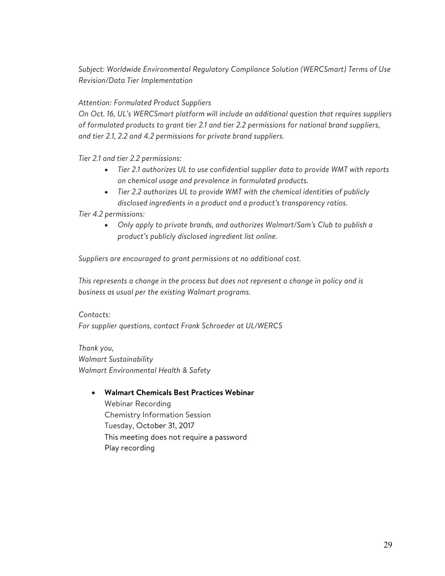Subject: Worldwide Environmental Regulatory Compliance Solution (WERCSmart) Terms of Use Revision/Data Tier Implementation

## Attention: Formulated Product Suppliers

On Oct. 16, UL's WERCSmart platform will include an additional question that requires suppliers of formulated products to grant tier 2.1 and tier 2.2 permissions for national brand suppliers, and tier 2.1, 2.2 and 4.2 permissions for private brand suppliers.

Tier 2.1 and tier 2.2 permissions:

- Tier 2.1 authorizes UL to use confidential supplier data to provide WMT with reports on chemical usage and prevalence in formulated products.
- Tier 2.2 authorizes UL to provide WMT with the chemical identities of publicly disclosed ingredients in a product and a product's transparency ratios.

Tier 4.2 permissions:

 Only apply to private brands, and authorizes Walmart/Sam's Club to publish a product's publicly disclosed ingredient list online.

Suppliers are encouraged to grant permissions at no additional cost.

This represents a change in the process but does not represent a change in policy and is business as usual per the existing Walmart programs.

Contacts: For supplier questions, contact Frank Schroeder at UL/WERCS

Thank you, Walmart Sustainability Walmart Environmental Health & Safety

#### Walmart Chemicals Best Practices Webinar

Webinar Recording Chemistry Information Session Tuesday, October 31, 2017 This meeting does not require a password Play recording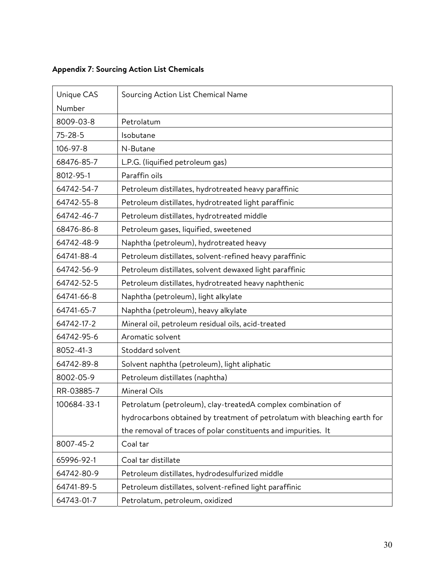# Appendix 7: Sourcing Action List Chemicals

| Unique CAS    | Sourcing Action List Chemical Name                                        |
|---------------|---------------------------------------------------------------------------|
| Number        |                                                                           |
| 8009-03-8     | Petrolatum                                                                |
| $75 - 28 - 5$ | Isobutane                                                                 |
| 106-97-8      | N-Butane                                                                  |
| 68476-85-7    | L.P.G. (liquified petroleum gas)                                          |
| 8012-95-1     | Paraffin oils                                                             |
| 64742-54-7    | Petroleum distillates, hydrotreated heavy paraffinic                      |
| 64742-55-8    | Petroleum distillates, hydrotreated light paraffinic                      |
| 64742-46-7    | Petroleum distillates, hydrotreated middle                                |
| 68476-86-8    | Petroleum gases, liquified, sweetened                                     |
| 64742-48-9    | Naphtha (petroleum), hydrotreated heavy                                   |
| 64741-88-4    | Petroleum distillates, solvent-refined heavy paraffinic                   |
| 64742-56-9    | Petroleum distillates, solvent dewaxed light paraffinic                   |
| 64742-52-5    | Petroleum distillates, hydrotreated heavy naphthenic                      |
| 64741-66-8    | Naphtha (petroleum), light alkylate                                       |
| 64741-65-7    | Naphtha (petroleum), heavy alkylate                                       |
| 64742-17-2    | Mineral oil, petroleum residual oils, acid-treated                        |
| 64742-95-6    | Aromatic solvent                                                          |
| 8052-41-3     | Stoddard solvent                                                          |
| 64742-89-8    | Solvent naphtha (petroleum), light aliphatic                              |
| 8002-05-9     | Petroleum distillates (naphtha)                                           |
| RR-03885-7    | Mineral Oils                                                              |
| 100684-33-1   | Petrolatum (petroleum), clay-treatedA complex combination of              |
|               | hydrocarbons obtained by treatment of petrolatum with bleaching earth for |
|               | the removal of traces of polar constituents and impurities. It            |
| 8007-45-2     | Coal tar                                                                  |
| 65996-92-1    | Coal tar distillate                                                       |
| 64742-80-9    | Petroleum distillates, hydrodesulfurized middle                           |
| 64741-89-5    | Petroleum distillates, solvent-refined light paraffinic                   |
| 64743-01-7    | Petrolatum, petroleum, oxidized                                           |